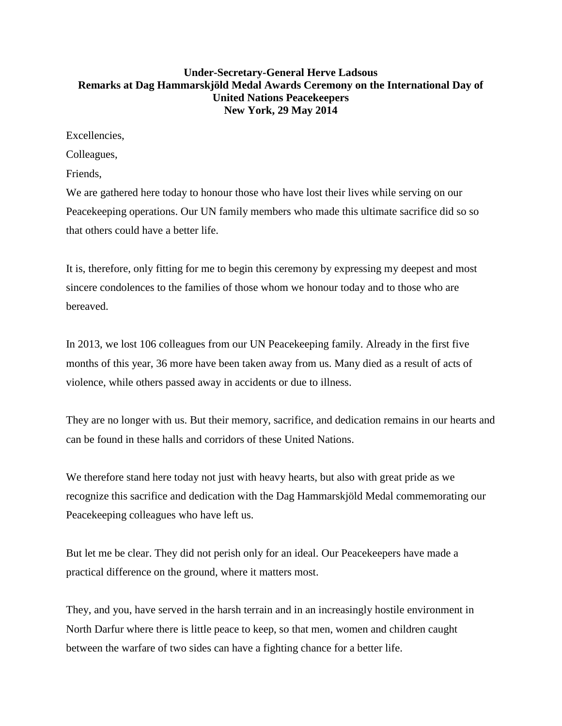## **Under-Secretary-General Herve Ladsous Remarks at Dag Hammarskjöld Medal Awards Ceremony on the International Day of United Nations Peacekeepers New York, 29 May 2014**

Excellencies,

Colleagues,

Friends,

We are gathered here today to honour those who have lost their lives while serving on our Peacekeeping operations. Our UN family members who made this ultimate sacrifice did so so that others could have a better life.

It is, therefore, only fitting for me to begin this ceremony by expressing my deepest and most sincere condolences to the families of those whom we honour today and to those who are bereaved.

In 2013, we lost 106 colleagues from our UN Peacekeeping family. Already in the first five months of this year, 36 more have been taken away from us. Many died as a result of acts of violence, while others passed away in accidents or due to illness.

They are no longer with us. But their memory, sacrifice, and dedication remains in our hearts and can be found in these halls and corridors of these United Nations.

We therefore stand here today not just with heavy hearts, but also with great pride as we recognize this sacrifice and dedication with the Dag Hammarskjöld Medal commemorating our Peacekeeping colleagues who have left us.

But let me be clear. They did not perish only for an ideal. Our Peacekeepers have made a practical difference on the ground, where it matters most.

They, and you, have served in the harsh terrain and in an increasingly hostile environment in North Darfur where there is little peace to keep, so that men, women and children caught between the warfare of two sides can have a fighting chance for a better life.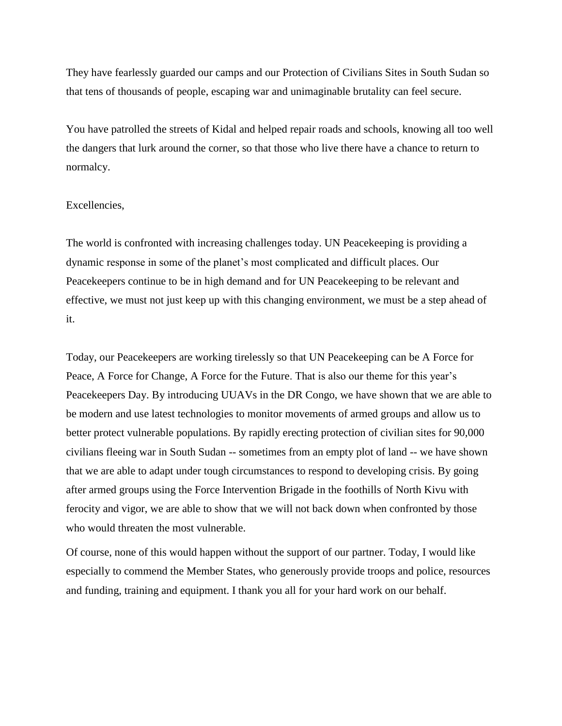They have fearlessly guarded our camps and our Protection of Civilians Sites in South Sudan so that tens of thousands of people, escaping war and unimaginable brutality can feel secure.

You have patrolled the streets of Kidal and helped repair roads and schools, knowing all too well the dangers that lurk around the corner, so that those who live there have a chance to return to normalcy.

## Excellencies,

The world is confronted with increasing challenges today. UN Peacekeeping is providing a dynamic response in some of the planet's most complicated and difficult places. Our Peacekeepers continue to be in high demand and for UN Peacekeeping to be relevant and effective, we must not just keep up with this changing environment, we must be a step ahead of it.

Today, our Peacekeepers are working tirelessly so that UN Peacekeeping can be A Force for Peace, A Force for Change, A Force for the Future. That is also our theme for this year's Peacekeepers Day. By introducing UUAVs in the DR Congo, we have shown that we are able to be modern and use latest technologies to monitor movements of armed groups and allow us to better protect vulnerable populations. By rapidly erecting protection of civilian sites for 90,000 civilians fleeing war in South Sudan -- sometimes from an empty plot of land -- we have shown that we are able to adapt under tough circumstances to respond to developing crisis. By going after armed groups using the Force Intervention Brigade in the foothills of North Kivu with ferocity and vigor, we are able to show that we will not back down when confronted by those who would threaten the most vulnerable.

Of course, none of this would happen without the support of our partner. Today, I would like especially to commend the Member States, who generously provide troops and police, resources and funding, training and equipment. I thank you all for your hard work on our behalf.